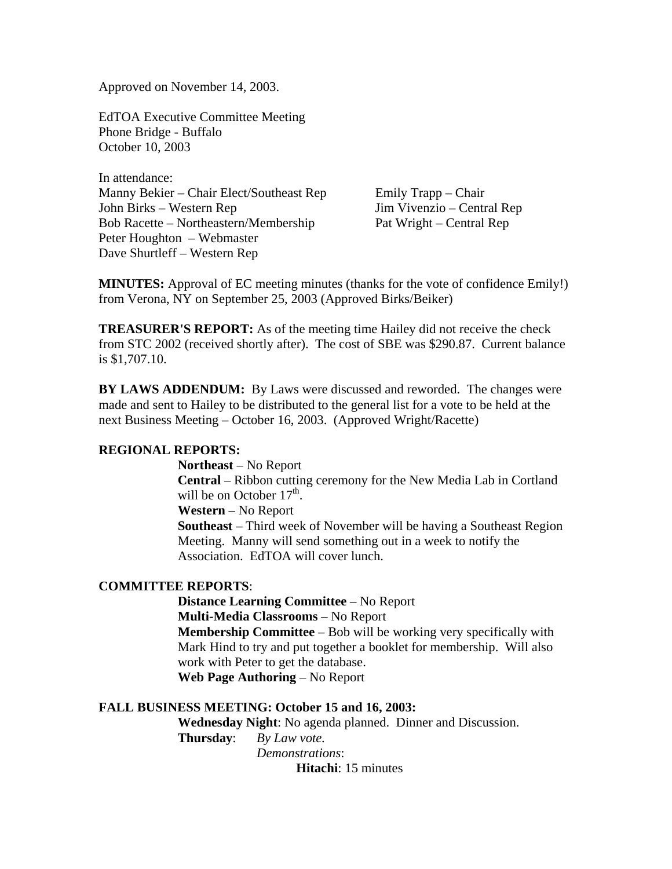Approved on November 14, 2003.

EdTOA Executive Committee Meeting Phone Bridge - Buffalo October 10, 2003

In attendance: Manny Bekier – Chair Elect/Southeast Rep Emily Trapp – Chair John Birks – Western Rep Jim Vivenzio – Central Rep Bob Racette – Northeastern/Membership Pat Wright – Central Rep Peter Houghton – Webmaster Dave Shurtleff – Western Rep

**MINUTES:** Approval of EC meeting minutes (thanks for the vote of confidence Emily!) from Verona, NY on September 25, 2003 (Approved Birks/Beiker)

**TREASURER'S REPORT:** As of the meeting time Hailey did not receive the check from STC 2002 (received shortly after). The cost of SBE was \$290.87. Current balance is \$1,707.10.

**BY LAWS ADDENDUM:** By Laws were discussed and reworded. The changes were made and sent to Hailey to be distributed to the general list for a vote to be held at the next Business Meeting – October 16, 2003. (Approved Wright/Racette)

## **REGIONAL REPORTS:**

**Northeast** – No Report **Central** – Ribbon cutting ceremony for the New Media Lab in Cortland will be on October  $17<sup>th</sup>$ . **Western** – No Report **Southeast** – Third week of November will be having a Southeast Region Meeting. Manny will send something out in a week to notify the Association. EdTOA will cover lunch.

## **COMMITTEE REPORTS**:

**Distance Learning Committee** – No Report **Multi-Media Classrooms** – No Report **Membership Committee** – Bob will be working very specifically with Mark Hind to try and put together a booklet for membership. Will also work with Peter to get the database. **Web Page Authoring** – No Report

## **FALL BUSINESS MEETING: October 15 and 16, 2003:**

**Wednesday Night**: No agenda planned. Dinner and Discussion.

 **Thursday**: *By Law vote. Demonstrations*:

**Hitachi**: 15 minutes